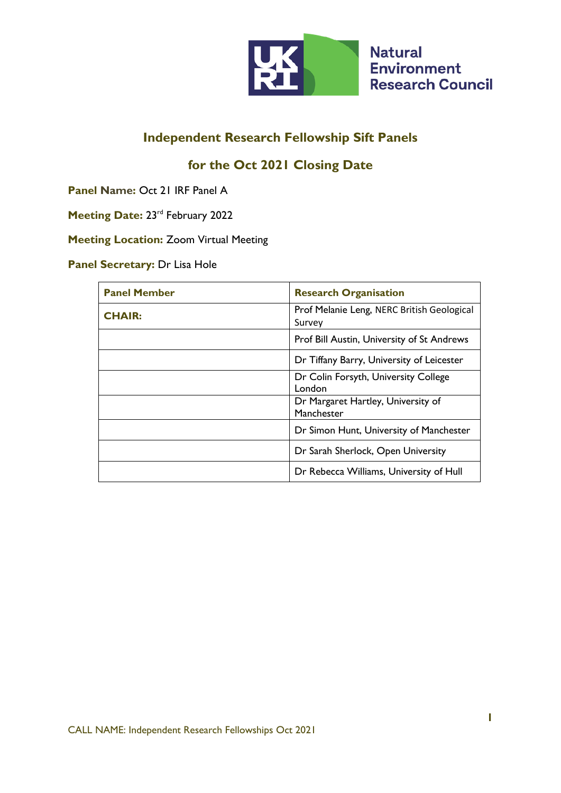

# **Independent Research Fellowship Sift Panels**

## **for the Oct 2021 Closing Date**

**Panel Name:** Oct 21 IRF Panel A

Meeting Date: 23<sup>rd</sup> February 2022

**Meeting Location:** Zoom Virtual Meeting

**Panel Secretary:** Dr Lisa Hole

| <b>Panel Member</b> | <b>Research Organisation</b>                         |
|---------------------|------------------------------------------------------|
| <b>CHAIR:</b>       | Prof Melanie Leng, NERC British Geological<br>Survey |
|                     | Prof Bill Austin, University of St Andrews           |
|                     | Dr Tiffany Barry, University of Leicester            |
|                     | Dr Colin Forsyth, University College<br>London       |
|                     | Dr Margaret Hartley, University of<br>Manchester     |
|                     | Dr Simon Hunt, University of Manchester              |
|                     | Dr Sarah Sherlock, Open University                   |
|                     | Dr Rebecca Williams, University of Hull              |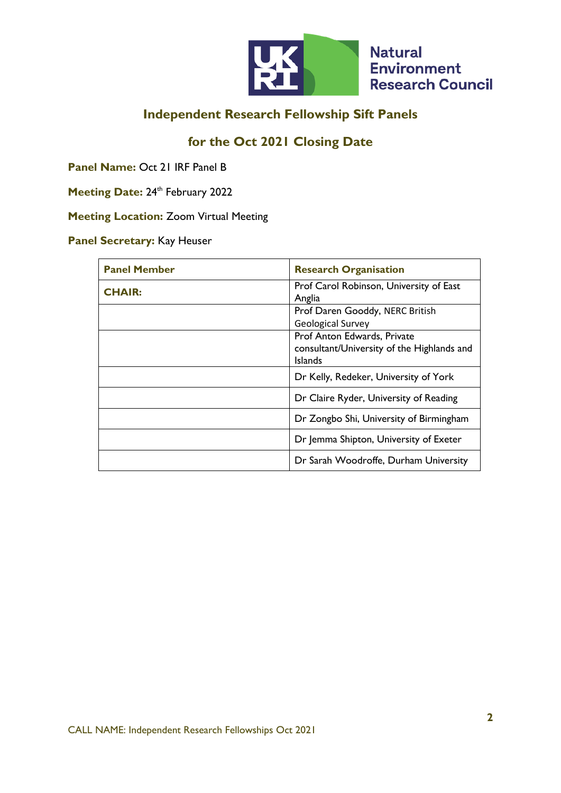

## **Independent Research Fellowship Sift Panels**

### **for the Oct 2021 Closing Date**

**Panel Name:** Oct 21 IRF Panel B

**Meeting Date: 24th February 2022** 

**Meeting Location:** Zoom Virtual Meeting

#### **Panel Secretary:** Kay Heuser

| <b>Panel Member</b> | <b>Research Organisation</b>                                                                |
|---------------------|---------------------------------------------------------------------------------------------|
| <b>CHAIR:</b>       | Prof Carol Robinson, University of East<br>Anglia                                           |
|                     | Prof Daren Gooddy, NERC British<br><b>Geological Survey</b>                                 |
|                     | Prof Anton Edwards, Private<br>consultant/University of the Highlands and<br><b>Islands</b> |
|                     | Dr Kelly, Redeker, University of York                                                       |
|                     | Dr Claire Ryder, University of Reading                                                      |
|                     | Dr Zongbo Shi, University of Birmingham                                                     |
|                     | Dr Jemma Shipton, University of Exeter                                                      |
|                     | Dr Sarah Woodroffe, Durham University                                                       |